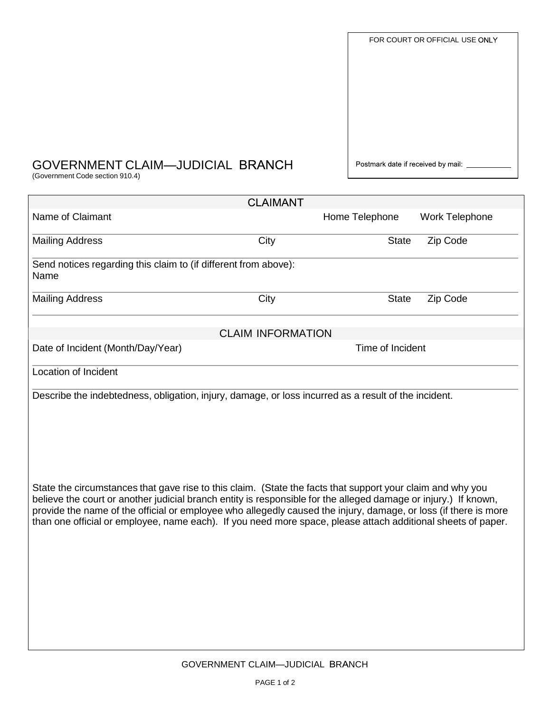| FOR COURT OR OFFICIAL USE ONLY     |
|------------------------------------|
|                                    |
|                                    |
|                                    |
|                                    |
|                                    |
| Postmark date if received by mail: |

## GOVERNMENT CLAIM—JUDICIAL BRANCH Postmark date if received by mail

(Government Code section 910.4)

| Home Telephone<br>Work Telephone<br>City<br>Zip Code<br><b>State</b><br>Send notices regarding this claim to (if different from above):<br>City<br>Zip Code<br><b>State</b><br><b>CLAIM INFORMATION</b><br>Time of Incident<br>Describe the indebtedness, obligation, injury, damage, or loss incurred as a result of the incident.<br>State the circumstances that gave rise to this claim. (State the facts that support your claim and why you<br>believe the court or another judicial branch entity is responsible for the alleged damage or injury.) If known,<br>provide the name of the official or employee who allegedly caused the injury, damage, or loss (if there is more<br>than one official or employee, name each). If you need more space, please attach additional sheets of paper. |                                   | <b>CLAIMANT</b> |  |  |  |
|---------------------------------------------------------------------------------------------------------------------------------------------------------------------------------------------------------------------------------------------------------------------------------------------------------------------------------------------------------------------------------------------------------------------------------------------------------------------------------------------------------------------------------------------------------------------------------------------------------------------------------------------------------------------------------------------------------------------------------------------------------------------------------------------------------|-----------------------------------|-----------------|--|--|--|
|                                                                                                                                                                                                                                                                                                                                                                                                                                                                                                                                                                                                                                                                                                                                                                                                         | Name of Claimant                  |                 |  |  |  |
|                                                                                                                                                                                                                                                                                                                                                                                                                                                                                                                                                                                                                                                                                                                                                                                                         | <b>Mailing Address</b>            |                 |  |  |  |
|                                                                                                                                                                                                                                                                                                                                                                                                                                                                                                                                                                                                                                                                                                                                                                                                         | Name                              |                 |  |  |  |
|                                                                                                                                                                                                                                                                                                                                                                                                                                                                                                                                                                                                                                                                                                                                                                                                         | <b>Mailing Address</b>            |                 |  |  |  |
|                                                                                                                                                                                                                                                                                                                                                                                                                                                                                                                                                                                                                                                                                                                                                                                                         |                                   |                 |  |  |  |
|                                                                                                                                                                                                                                                                                                                                                                                                                                                                                                                                                                                                                                                                                                                                                                                                         | Date of Incident (Month/Day/Year) |                 |  |  |  |
|                                                                                                                                                                                                                                                                                                                                                                                                                                                                                                                                                                                                                                                                                                                                                                                                         | <b>Location of Incident</b>       |                 |  |  |  |
|                                                                                                                                                                                                                                                                                                                                                                                                                                                                                                                                                                                                                                                                                                                                                                                                         |                                   |                 |  |  |  |
|                                                                                                                                                                                                                                                                                                                                                                                                                                                                                                                                                                                                                                                                                                                                                                                                         |                                   |                 |  |  |  |